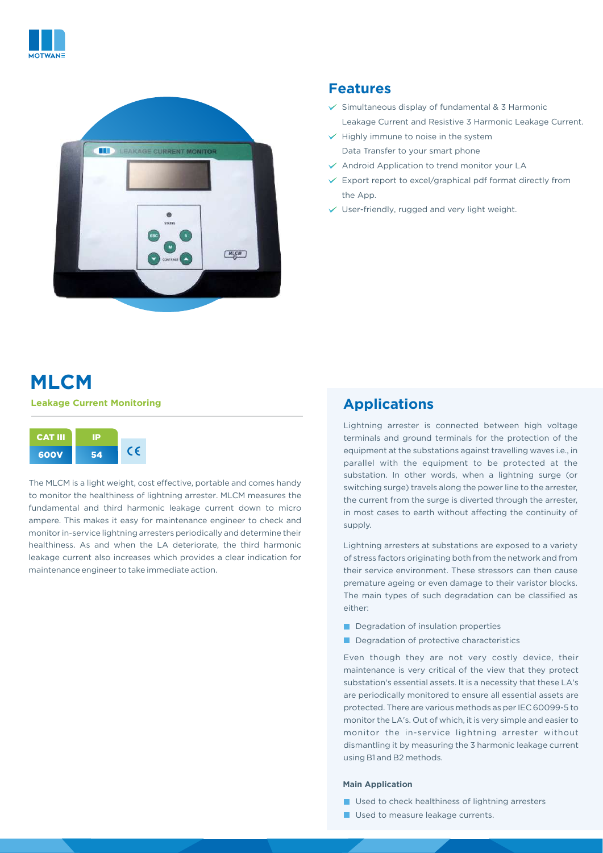



## **Features**

- $\checkmark$  Simultaneous display of fundamental & 3 Harmonic Leakage Current and Resistive 3 Harmonic Leakage Current.
- $\checkmark$  Highly immune to noise in the system Data Transfer to your smart phone
- $\vee$  Android Application to trend monitor your LA
- $\times$  Export report to excel/graphical pdf format directly from the App.
- $\checkmark$  User-friendly, rugged and very light weight.

# **[MLCM](https://motwane.com/product/leakage-current-monitoring-mlcm/) Leakage Current Monitoring**

| <b>CAT III</b> |    |  |
|----------------|----|--|
| 600V           | 54 |  |

The MLCM is a light weight, cost effective, portable and comes handy to monitor the healthiness of lightning arrester. MLCM measures the fundamental and third harmonic leakage current down to micro ampere. This makes it easy for maintenance engineer to check and monitor in-service lightning arresters periodically and determine their healthiness. As and when the LA deteriorate, the third harmonic leakage current also increases which provides a clear indication for maintenance engineer to take immediate action.

# **Applications**

Lightning arrester is connected between high voltage terminals and ground terminals for the protection of the equipment at the substations against travelling waves i.e., in parallel with the equipment to be protected at the substation. In other words, when a lightning surge (or switching surge) travels along the power line to the arrester, the current from the surge is diverted through the arrester, in most cases to earth without affecting the continuity of supply.

Lightning arresters at substations are exposed to a variety of stress factors originating both from the network and from their service environment. These stressors can then cause premature ageing or even damage to their varistor blocks. The main types of such degradation can be classified as either:

- Degradation of insulation properties
- Degradation of protective characteristics

Even though they are not very costly device, their maintenance is very critical of the view that they protect substation's essential assets. It is a necessity that these LA's are periodically monitored to ensure all essential assets are protected. There are various methods as per IEC 60099-5 to monitor the LA's. Out of which, it is very simple and easier to monitor the in-service lightning arrester without dismantling it by measuring the 3 harmonic leakage current using B1 and B2 methods.

#### **Main Application**

- **Used to check healthiness of lightning arresters**
- **Used to measure leakage currents.**